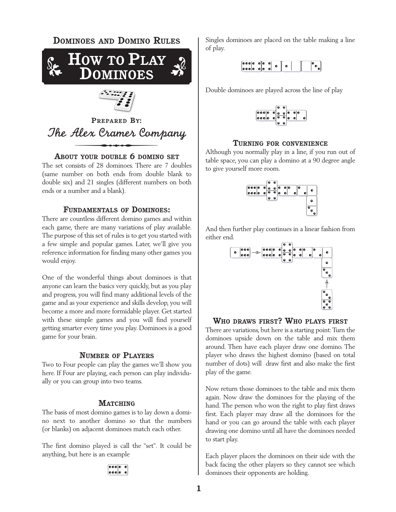

**PREPARED BY:** *The Alex Cramer Company* 

### **ABOUT YOUR DOUBLE 6 DOMINO SET**

The set consists of 28 dominoes. There are 7 doubles (same number on both ends from double blank to double six) and 21 singles (different numbers on both ends or a number and a blank).

### **FUNDAMENTALS OF DOMINOES:**

There are countless different domino games and within each game, there are many variations of play available. The purpose of this set of rules is to get you started with a few simple and popular games. Later, we'll give you reference information for finding many other games you would enjoy.

One of the wonderful things about dominoes is that anyone can learn the basics very quickly, but as you play and progress, you will find many additional levels of the game and as your experience and skills develop, you will become a more and more formidable player. Get started with these simple games and you will find yourself getting smarter every time you play. Dominoes is a good game for your brain.

### **NUMBER OF PLAYERS**

Two to Four people can play the games we'll show you here. If Four are playing, each person can play individually or you can group into two teams.

#### **MATCHING**

The basis of most domino games is to lay down a domino next to another domino so that the numbers (or blanks) on adjacent dominoes match each other.

The first domino played is call the "set". It could be anything, but here is an example

Singles dominoes are placed on the table making a line of play.

| $\begin{bmatrix} 0 & 0 & 0 & 0 & 0 & 0 \\ 0 & 0 & 0 & 0 & 0 & 0 \\ \end{bmatrix}$ |  |  |  |  |
|-----------------------------------------------------------------------------------|--|--|--|--|
|                                                                                   |  |  |  |  |

Double dominoes are played across the line of play



### **TURNING FOR CONVENIENCE**

Although you normally play in a line, if you run out of table space, you can play a domino at a 90 degree angle to give yourself more room.



And then further play continues in a linear fashion from either end.



### **WHO DRAWS FIRST? WHO PLAYS FIRST**

There are variations, but here is a starting point: Turn the dominoes upside down on the table and mix them around. Then have each player draw one domino. The player who draws the highest domino (based on total number of dots) will draw first and also make the first play of the game.

Now return those dominoes to the table and mix them again. Now draw the dominoes for the playing of the hand. The person who won the right to play first draws first. Each player may draw all the dominoes for the hand or you can go around the table with each player drawing one domino until all have the dominoes needed to start play.

Each player places the dominoes on their side with the back facing the other players so they cannot see which dominoes their opponents are holding.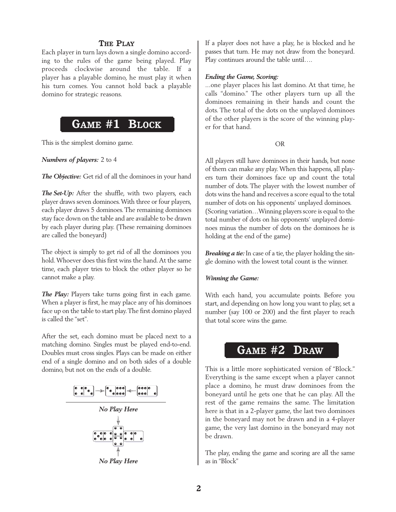### **THE PLAY**

Each player in turn lays down a single domino according to the rules of the game being played. Play proceeds clockwise around the table. If a player has a playable domino, he must play it when his turn comes. You cannot hold back a playable domino for strategic reasons.

# **GAME #1 BLOCK**

This is the simplest domino game.

*Numbers of players:* 2 to 4

*The Objective:* Get rid of all the dominoes in your hand

*The Set-Up:* After the shuffle, with two players, each player draws seven dominoes.With three or four players, each player draws 5 dominoes. The remaining dominoes stay face down on the table and are available to be drawn by each player during play. (These remaining dominoes are called the boneyard)

The object is simply to get rid of all the dominoes you hold.Whoever does this first wins the hand.At the same time, each player tries to block the other player so he cannot make a play.

*The Play:* Players take turns going first in each game. When a player is first, he may place any of his dominoes face up on the table to start play.The first domino played is called the "set".

After the set, each domino must be placed next to a matching domino. Singles must be played end-to-end. Doubles must cross singles. Plays can be made on either end of a single domino and on both sides of a double domino, but not on the ends of a double.

$$
\begin{bmatrix} \bullet & \bullet & \bullet & \bullet \\ \bullet & \bullet & \bullet & \bullet \end{bmatrix} \Longrightarrow \begin{bmatrix} \bullet & \bullet & \bullet & \bullet \\ \bullet & \bullet & \bullet & \bullet & \bullet \end{bmatrix} \Longleftarrow \begin{bmatrix} \bullet & \bullet & \bullet & \bullet \\ \bullet & \bullet & \bullet & \bullet \end{bmatrix} \quad \bullet
$$

*No Play Here*



*No Play Here*

If a player does not have a play, he is blocked and he passes that turn. He may not draw from the boneyard. Play continues around the table until….

### *Ending the Game, Scoring:*

...one player places his last domino. At that time, he calls "domino." The other players turn up all the dominoes remaining in their hands and count the dots. The total of the dots on the unplayed dominoes of the other players is the score of the winning player for that hand.

### OR

All players still have dominoes in their hands, but none of them can make any play.When this happens, all players turn their dominoes face up and count the total number of dots. The player with the lowest number of dots wins the hand and receives a score equal to the total number of dots on his opponents' unplayed dominoes. (Scoring variation…Winning players score is equal to the total number of dots on his opponents' unplayed dominoes minus the number of dots on the dominoes he is holding at the end of the game)

*Breaking a tie:* In case of a tie, the player holding the single domino with the lowest total count is the winner.

### *Winning the Game:*

With each hand, you accumulate points. Before you start, and depending on how long you want to play, set a number (say 100 or 200) and the first player to reach that total score wins the game.

### **GAME #2 DRAW**

This is a little more sophisticated version of "Block." Everything is the same except when a player cannot place a domino, he must draw dominoes from the boneyard until he gets one that he can play. All the rest of the game remains the same. The limitation here is that in a 2-player game, the last two dominoes in the boneyard may not be drawn and in a 4-player game, the very last domino in the boneyard may not be drawn.

The play, ending the game and scoring are all the same as in "Block"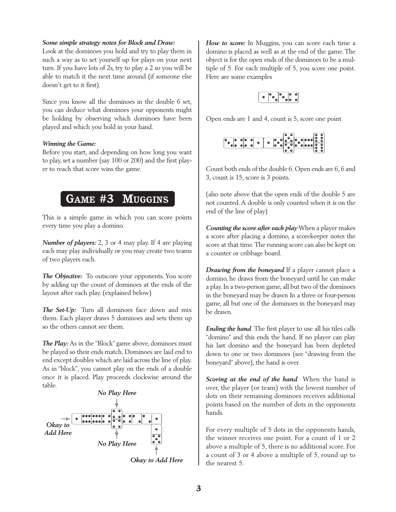### *Some simple strategy notes for Block and Draw:*

Look at the dominoes you hold and try to play them in such a way as to set yourself up for plays on your next turn. If you have lots of 2s, try to play a 2 so you will be able to match it the next time around (if someone else doesn't get to it first).

Since you know all the dominoes in the double 6 set, you can deduce what dominoes your opponents might be holding by observing which dominoes have been played and which you hold in your hand.

### *Winning the Game:*

Before you start, and depending on how long you want to play, set a number (say 100 or 200) and the first player to reach that score wins the game.

# **GAME #3 MUGGINS**

This is a simple game in which you can score points every time you play a domino.

*Number of players:* 2, 3 or 4 may play. If 4 are playing each may play individually or you may create two teams of two players each.

*The Objective:* To outscore your opponents. You score by adding up the count of dominoes at the ends of the layout after each play. (explained below)

*The Set-Up:* Turn all dominoes face down and mix them. Each player draws 5 dominoes and sets them up so the others cannot see them.

**The Play:** As in the "Block" game above, dominoes must be played so their ends match. Dominoes are laid end to end except doubles which are laid across the line of play. As in "block", you cannot play on the ends of a double once it is placed. Play proceeds clockwise around the table.



How to score: In Muggins, you can score each time a domino is placed as well as at the end of the game. The object is for the open ends of the dominoes to be a multiple of 5. For each multiple of 5, you score one point. Here are some examples



Open ends are 1 and 4, count is 5, score one point



Count both ends of the double 6. Open ends are 6, 6 and 3, count is 15, score is 3 points.

(also note above that the open ends of the double 5 are not counted. A double is only counted when it is on the end of the line of play)

*Counting the score after each play*When a player makes a score after placing a domino, a scorekeeper notes the score at that time.The running score can also be kept on a counter or cribbage board.

*Drawing from the boneyard* If a player cannot place a domino, he draws from the boneyard until he can make a play.In a two-person game, all but two of the dominoes in the boneyard may be drawn In a three or four-person game, all but one of the dominoes in the boneyard may be drawn.

*Ending the hand* The first player to use all his tiles calls "domino" and this ends the hand. If no player can play his last domino and the boneyard has been depleted down to one or two dominoes (see "drawing from the boneyard" above), the hand is over.

*Scoring at the end of the hand* When the hand is over, the player (or team) with the lowest number of dots on their remaining dominoes receives additional points based on the number of dots in the opponents hands.

For every multiple of 5 dots in the opponents hands, the winner receives one point. For a count of 1 or 2 above a multiple of 5, there is no additional score. For a count of 3 or 4 above a multiple of 5, round up to the nearest 5.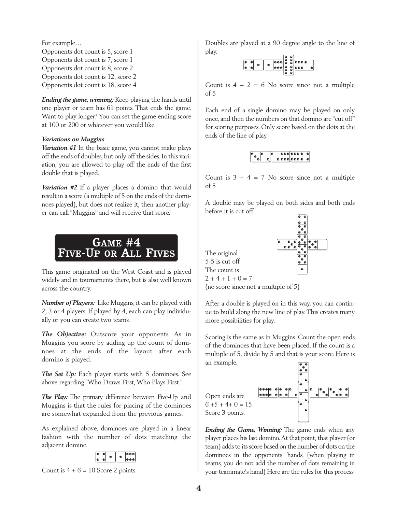For example… Opponents dot count is 5, score 1 Opponents dot count is 7, score 1 Opponents dot count is 8, score 2 Opponents dot count is 12, score 2 Opponents dot count is 18, score 4

*Ending the game, winning:* Keep playing the hands until one player or team has 61 points. That ends the game. Want to play longer? You can set the game ending score at 100 or 200 or whatever you would like.

### *Variations on Muggins*

*Variation #1* In the basic game, you cannot make plays off the ends of doubles, but only off the sides. In this variation, you are allowed to play off the ends of the first double that is played.

*Variation #2* If a player places a domino that would result in a score (a multiple of 5 on the ends of the dominoes played), but does not realize it, then another player can call "Muggins" and will receive that score.

## **GAME #4 FIVE-UP OR ALL FIVES**

This game originated on the West Coast and is played widely and in tournaments there, but is also well known across the country.

*Number of Players:* Like Muggins, it can be played with 2, 3 or 4 players. If played by 4, each can play individually or you can create two teams.

*The Objective:* Outscore your opponents. As in Muggins you score by adding up the count of dominoes at the ends of the layout after each domino is played.

*The Set Up:* Each player starts with 5 dominoes. See above regarding "Who Draws First, Who Plays First."

*The Play:* The primary difference between Five-Up and Muggins is that the rules for placing of the dominoes are somewhat expanded from the previous games.

As explained above, dominoes are played in a linear fashion with the number of dots matching the adjacent domino.



Count is  $4 + 6 = 10$  Score 2 points

Doubles are played at a 90 degree angle to the line of play.  $\overline{a}$ 

Count is  $4 + 2 = 6$  No score since not a multiple of 5

Each end of a single domino may be played on only once, and then the numbers on that domino are "cut off" for scoring purposes. Only score based on the dots at the ends of the line of play.

Count is  $3 + 4 = 7$  No score since not a multiple of 5

A double may be played on both sides and both ends before it is cut off





After a double is played on in this way, you can continue to build along the new line of play.This creates many more possibilities for play.

Scoring is the same as in Muggins. Count the open ends of the dominoes that have been placed. If the count is a multiple of 5, divide by 5 and that is your score. Here is an example.



*Ending the Game, Winning:* The game ends when any player places his last domino.At that point, that player (or team) adds to its score based on the number of dots on the dominoes in the opponents' hands. (when playing in teams, you do not add the number of dots remaining in your teammate's hand) Here are the rules for this process.